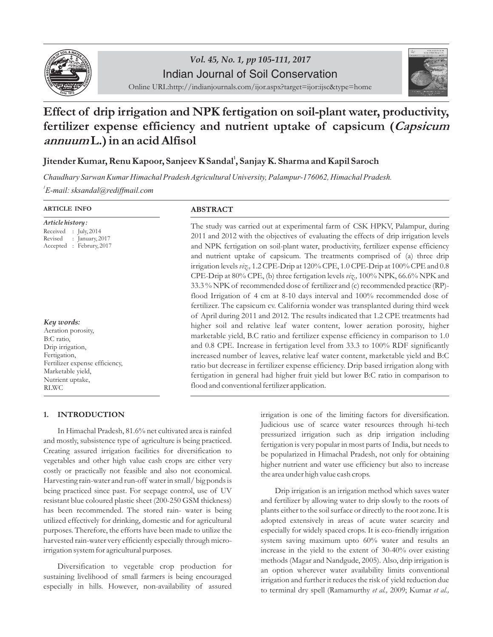

# **Example 2018**<br> **1999 Definition**<br> **1999 Definition**<br>
Online URL:http://indianjournals.com/ijor.aspx?target=ijor:ijsc&type=home Indian Journal of Soil Conservation



# *Effect of drip irrigation and NPK fertigation on soil-plant water, productivity, fertilizer expense efficiency and nutrient uptake of capsicum (Capsicum annuum L.) in an acid Alfisol*

## *1 Jitender Kumar, Renu Kapoor, Sanjeev K Sandal , Sanjay K. Sharma and Kapil Saroch*

*Chaudhary Sarwan Kumar Himachal Pradesh Agricultural University, Palampur-176062, Himachal Pradesh. 1 E-mail: sksandal@rediffmail.com*

#### *ARTICLE INFO*

| Article history :     |  |                            |  |  |  |  |  |  |
|-----------------------|--|----------------------------|--|--|--|--|--|--|
| Received : July, 2014 |  |                            |  |  |  |  |  |  |
| Revised               |  | : January, $2017$          |  |  |  |  |  |  |
| Accepted              |  | $\therefore$ Februry, 2017 |  |  |  |  |  |  |

#### *Key words: Aeration porosity,*

*B:C ratio, Drip irrigation, Fertigation, Fertilizer expense efficiency, Marketable yield, Nutrient uptake, RLWC*

#### *1. INTRODUCTION*

*In Himachal Pradesh, 81.6% net cultivated area is rainfed and mostly, subsistence type of agriculture is being practiced. Creating assured irrigation facilities for diversification to vegetables and other high value cash crops are either very costly or practically not feasible and also not economical. Harvesting rain-water and run-off water in small/ big ponds is being practiced since past. For seepage control, use of UV resistant blue coloured plastic sheet (200-250 GSM thickness) has been recommended. The stored rain- water is being utilized effectively for drinking, domestic and for agricultural purposes. Therefore, the efforts have been made to utilize the harvested rain-water very efficiently especially through microirrigation system for agricultural purposes.*

*Diversification to vegetable crop production for sustaining livelihood of small farmers is being encouraged especially in hills. However, non-availability of assured* 

### *ABSTRACT*

*The study was carried out at experimental farm of CSK HPKV, Palampur, during 2011 and 2012 with the objectives of evaluating the effects of drip irrigation levels*  and NPK fertigation on soil-plant water, productivity, fertilizer expense efficiency *and nutrient uptake of capsicum. The treatments comprised of (a) three drip irrigation levels viz., 1.2 CPE-Drip at 120% CPE, 1.0 CPE-Drip at 100% CPE and 0.8 CPE-Drip at 80% CPE, (b) three fertigation levels viz., 100% NPK, 66.6% NPK and 33.3 % NPK of recommended dose of fertilizer and (c) recommended practice (RP) flood Irrigation of 4 cm at 8-10 days interval and 100% recommended dose of fertilizer. The capsicum cv. California wonder was transplanted during third week of April during 2011 and 2012. The results indicated that 1.2 CPE treatments had higher soil and relative leaf water content, lower aeration porosity, higher marketable yield, B.C ratio and fertilizer expense efficiency in comparison to 1.0 and 0.8 CPE. Increase in fertigation level from 33.3 to 100% RDF significantly increased number of leaves, relative leaf water content, marketable yield and B:C ratio but decrease in fertilizer expense efficiency. Drip based irrigation along with fertigation in general had higher fruit yield but lower B:C ratio in comparison to flood and conventional fertilizer application.*

> *irrigation is one of the limiting factors for diversification. Judicious use of scarce water resources through hi-tech pressurized irrigation such as drip irrigation including fertigation is very popular in most parts of India, but needs to be popularized in Himachal Pradesh, not only for obtaining higher nutrient and water use efficiency but also to increase the area under high value cash crops.*

> *Drip irrigation is an irrigation method which saves water and fertilizer by allowing water to drip slowly to the roots of plants either to the soil surface or directly to the root zone. It is adopted extensively in areas of acute water scarcity and especially for widely spaced crops. It is eco-friendly irrigation system saving maximum upto 60% water and results an increase in the yield to the extent of 30-40% over existing methods (Magar and Nandgude, 2005). Also, drip irrigation is*  an option wherever water availability limits conventional *irrigation and further it reduces the risk of yield reduction due to terminal dry spell (Ramamurthy et al., 2009; Kumar et al.,*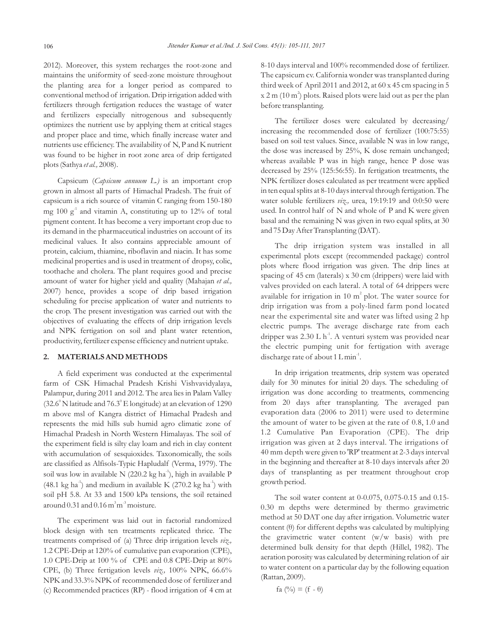*2012 ). Moreover, this system recharges the root-zone and maintains the uniformity of seed-zone moisture throughout the planting area for a longer period as compared to conventional method of irrigation. Drip irrigation added with fertilizers through fertigation reduces the wastage of water and fertilizers especially nitrogenous and subsequently optimizes the nutrient use by applying them at critical stages*  and proper place and time, which finally increase water and *nutrients use efficiency. The availability of N, P and K nutrient was found to be higher in root zone area of drip fertigated plots (Sathya et al., 2008).*

*Capsicum (Capsicum annuum L.) is an important crop grown in almost all parts of Himachal Pradesh. The fruit of capsicum is a rich source of vitamin C ranging from 150-180 -1 mg 100 g and vitamin A, constituting up to 12% of total pigment content. It has become a very important crop due to its demand in the pharmaceutical industries on account of its medicinal values. It also contains appreciable amount of protein, calcium, thiamine, riboflavin and niacin. It has some medicinal properties and is used in treatment of dropsy, colic, toothache and cholera. The plant requires good and precise*  amount of water for higher yield and quality (Mahajan *et al.*, *2007) hence, provides a scope of drip based irrigation scheduling for precise application of water and nutrients to the crop. The present investigation was carried out with the objectives of evaluating the effects of drip irrigation levels and NPK fertigation on soil and plant water retention, productivity, fertilizer expense efficiency and nutrient uptake.*

#### *2. MATERIALS AND METHODS*

*A field experiment was conducted at the experimental farm of CSK Himachal Pradesh Krishi Vishvavidyalaya, Palampur, during 2011 and 2012. The area lies in Palam Valley 0 0 (32.6 N latitude and 76.3 E longitude) at an elevation of 1290 m above msl of Kangra district of Himachal Pradesh and represents the mid hills sub humid agro climatic zone of Himachal Pradesh in North Western Himalayas. The soil of the experiment field is silty clay loam and rich in clay content with accumulation of sesquioxides. Taxonomically, the soils are classified as Alfisols-Typic Hapludalf (Verma, 1979). The -1 soil was low in available N (220.2 kg ha ), high in available P*   $(48.1 \text{ kg ha}^{-1})$  and medium in available K  $(270.2 \text{ kg ha}^{-1})$  with *soil pH 5.8. At 33 and 1500 kPa tensions, the soil retained 3 -3 around 0.31 and 0.16 m m moisture.*

*The experiment was laid out in factorial randomized*  block design with ten treatments replicated thrice. The *treatments comprised of (a) Three drip irrigation levels viz., 1.2 CPE-Drip at 120% of cumulative pan evaporation (CPE), 1.0 CPE-Drip at 100 % of CPE and 0.8 CPE-Drip at 80% CPE, (b) Three fertigation levels viz., 100% NPK, 66.6% NPK and 33.3% NPK of recommended dose of fertilizer and (c) Recommended practices (RP) - flood irrigation of 4 cm at* 

*8-10 days interval and 100% recommended dose of fertilizer. The capsicum cv. California wonder wastransplanted during third week of April 2011 and 2012, at 60 x 45 cm spacing in 5 2 x 2 m (10 m ) plots. Raised plots were laid out as per the plan before transplanting.*

*The fertilizer doses were calculated by decreasing/ increasing the recommended dose of fertilizer (100:75:55) based on soil test values. Since, available N was in low range, the dose was increased by 25%, K dose remain unchanged; whereas available P was in high range, hence P dose was decreased by 25% (125:56:55). In fertigation treatments, the NPK fertilizer doses calculated as per treatment were applied in ten equal splits at 8-10 days interval through fertigation. The water soluble fertilizers viz., urea, 19:19:19 and 0:0:50 were used. In control half of N and whole of P and K were given basal and the remaining N was given in two equal splits, at 30 and 75 Day After Transplanting (DAT).*

*The drip irrigation system was installed in all experimental plots except (recommended package) control plots where flood irrigation was given. The drip lines at spacing of 45 cm (laterals) x 30 cm (drippers) were laid with valves provided on each lateral. A total of 64 drippers were 2 available for irrigation in 10 m plot. The water source for drip irrigation was from a poly-lined farm pond located near the experimental site and water was lifted using 2 hp electric pumps. The average discharge rate from each -1 dripper was 2.30 L h . A venturi system was provided near the electric pumping unit for fertigation with average -1 discharge rate of about 1 L min .*

*In drip irrigation treatments, drip system was operated daily for 30 minutes for initial 20 days. The scheduling of irrigation was done according to treatments, commencing from 20 days after transplanting. The averaged pan evaporation data (2006 to 2011) were used to determine the amount of water to be given at the rate of 0.8, 1.0 and 1.2 Cumulative Pan Evaporation (CPE). The drip irrigation was given at 2 days interval. The irrigations of 40 mm depth were given to 'RP' treatment at 2-3 days interval in the beginning and thereafter at 8-10 days intervals after 20 days of transplanting as per treatment throughout crop growth period.*

*The soil water content at 0-0.075, 0.075-0.15 and 0.15- 0.30 m depths were determined by thermo gravimetric method at 50 DAT one day after irrigation. Volumetric water content (θ) for different depths was calculated by multiplying the gravimetric water content (w/w basis) with pre determined bulk density for that depth (Hillel, 1982). The aeration porosity was calculated by determining relation of air to water content on a particular day by the following equation (Rattan, 2009).*

$$
fa\;(^{0}\!/\!o) = (f - \theta)
$$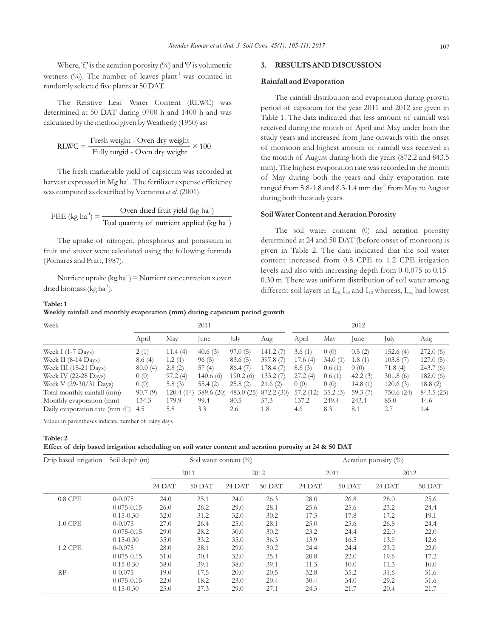*Where, 'f<sub>s</sub>'* is the aeration porosity (%) and ' $\theta$ ' is volumetric wetness (%). The number of leaves plant<sup>1</sup> was counted in *randomly selected five plants at 50 DAT.*

*The Relative Leaf Water Content (RLWC) was determined at 50 DAT during 0700 h and 1400 h and was calculated by the method given by Weatherly (1950) as:*

RLWC = 
$$
\frac{\text{Fresh weight - Over dry weight}}{\text{Fully turgid - Over dry weight}} \times 100
$$

*The fresh marketable yield of capsicum was recorded at -1 harvest expressed in Mg ha . The fertilizer expense efficiency was computed as described by Veeranna et al. (2001).*

$$
FEE (kg ha-1) = \frac{Oven dried fruit yield (kg ha-1)}{Toal quantity of nutrient applied (kg ha-1)}
$$

*The uptake of nitrogen, phosphorus and potassium in fruit and stover were calculated using the following formula (Pomares and Pratt, 1987).*

Nutrient uptake  $(kg ha<sup>-1</sup>) =$  Nutrient concentration x oven *-1 dried biomass (kg ha ).* 

# *Table: 1*

#### *Weekly rainfall and monthly evaporation (mm) during capsicum period growth*

### *'θ' 3. RESULTS AND DISCUSSION*

#### *Rainfall and Evaporation*

*The rainfall distribution and evaporation during growth period of capsicum for the year 2011 and 2012 are given in Table 1. The data indicated that less amount of rainfall was received during the month of April and May under both the study years and increased from June onwards with the onset of monsoon and highest amount of rainfall was received in the month of August during both the years (872.2 and 843.5 mm). The highest evaporation rate was recorded in the month of May during both the years and daily evaporation rate -1 ranged from 5.8-1.8 and 8.3-1.4 mm day from May to August during both the study years.*

#### *Soil Water Content and Aeration Porosity*

*The soil water content (θ) and aeration porosity determined at 24 and 50 DAT (before onset of monsoon) is given in Table 2. The data indicated that the soil water content increased from 0.8 CPE to 1.2 CPE irrigation levels and also with increasing depth from 0-0.075 to 0.15- 0.30 m. There was uniform distribution of soil water among different* soil layers in  $I_{0.8}$ ,  $I_{1.0}$  and  $I_{1.2}$  whereas,  $I_{\text{rec}}$  had lowest

| Week                                          |         |           | 2011       |           |            |           |         | 2012       |            |            |
|-----------------------------------------------|---------|-----------|------------|-----------|------------|-----------|---------|------------|------------|------------|
|                                               | April   | May       | lune       | July      | Aug        | April     | May     | lune       | July       | Aug        |
| Week I $(1-7 \text{ Days})$                   | 2(1)    | 11.4(4)   | 40.6 $(3)$ | 97.0(5)   | 141.2(7)   | 3.6(1)    | 0(0)    | 0.5(2)     | 152.6(4)   | 272.0(6)   |
| Week II $(8-14 \text{ Days})$                 | 8.6(4)  | 1.2(1)    | 96(5)      | 83.6 (5)  | 397.8(7)   | 17.6(4)   | 34.0(1) | 1.8(1)     | 103.8(7)   | 127.0(5)   |
| Week III $(15-21 \text{ Days})$               | 80.0(4) | 2.8(2)    | 57(4)      | 86.4(7)   | 178.4(7)   | 8.8(3)    | 0.6(1)  | 0(0)       | 71.8(4)    | 243.7(6)   |
| Week IV $(22-28 \text{ Days})$                | 0(0)    | 97.2(4)   | 140.6(6)   | 190.2(6)  | 133.2(7)   | 27.2(4)   | 0.6(1)  | 42.2(3)    | 301.8(6)   | 182.0(6)   |
| Week V (29-30/31 Days)                        | 0(0)    | 5.8 $(3)$ | 55.4 $(2)$ | 25.8(2)   | 21.6(2)    | 0(0)      | 0(0)    | 14.8 $(1)$ | 120.6(3)   | 18.8(2)    |
| Total monthly rainfall (mm)                   | 90.7(9) | 120.4(14) | 389.6 (20) | 483.0(25) | 872.2 (30) | 57.2 (12) | 35.2(3) | 59.3 $(7)$ | 750.6 (24) | 843.5 (25) |
| Monthly evaporation (mm)                      | 134.3   | 179.9     | 99.4       | 80.5      | 57.3       | 137.2     | 249.4   | 243.4      | 85.0       | 44.6       |
| Daily evaporation rate (mm $d^{\prime}$ ) 4.5 |         | 5.8       | 3.3        | 2.6       | 1.8        | 4.6       | 8.3     | 8.1        | 2.7        | 1.4        |

*Values in parentheses indicate number of rainy days*

#### *Table: 2 Effect of drip based irrigation scheduling on soil water content and aeration porosity at 24 & 50 DAT*

| Drip based irrigation | Soil depth (m) | Soil water content $(\%)$ |          |        |        |        | Aeration porosity $(\%)$ |        |        |  |  |
|-----------------------|----------------|---------------------------|----------|--------|--------|--------|--------------------------|--------|--------|--|--|
|                       |                |                           | 2011     | 2012   |        |        | 2011                     |        | 2012   |  |  |
|                       |                | 24 DAT                    | $50$ DAT | 24 DAT | 50 DAT | 24 DAT | $50$ DAT                 | 24 DAT | 50 DAT |  |  |
| $0.8$ CPE             | $0 - 0.075$    | 24.0                      | 25.1     | 24.0   | 26.3   | 28.0   | 26.8                     | 28.0   | 25.6   |  |  |
|                       | $0.075 - 0.15$ | 26.0                      | 26.2     | 29.0   | 28.1   | 25.6   | 25.6                     | 23.2   | 24.4   |  |  |
|                       | $0.15 - 0.30$  | 32.0                      | 31.2     | 32.0   | 30.2   | 17.3   | 17.8                     | 17.2   | 19.1   |  |  |
| 1.0 CPE               | $0 - 0.075$    | 27.0                      | 26.4     | 25.0   | 28.1   | 25.0   | 25.6                     | 26.8   | 24.4   |  |  |
|                       | $0.075 - 0.15$ | 29.0                      | 28.2     | 30.0   | 30.2   | 23.2   | 24.4                     | 22.0   | 22.0   |  |  |
|                       | $0.15 - 0.30$  | 35.0                      | 33.2     | 35.0   | 36.3   | 13.9   | 16.5                     | 13.9   | 12.6   |  |  |
| <b>1.2 CPE</b>        | $0 - 0.075$    | 28.0                      | 28.1     | 29.0   | 30.2   | 24.4   | 24.4                     | 23.2   | 22.0   |  |  |
|                       | $0.075 - 0.15$ | 31.0                      | 30.4     | 32.0   | 35.1   | 20.8   | 22.0                     | 19.6   | 17.2   |  |  |
|                       | $0.15 - 0.30$  | 38.0                      | 39.1     | 38.0   | 39.1   | 11.3   | 10.0                     | 11.3   | 10.0   |  |  |
| RP                    | $0 - 0.075$    | 19.0                      | 17.5     | 20.0   | 20.5   | 32.8   | 35.2                     | 31.6   | 31.6   |  |  |
|                       | $0.075 - 0.15$ | 22.0                      | 18.2     | 23.0   | 20.4   | 30.4   | 34.0                     | 29.2   | 31.6   |  |  |
|                       | $0.15 - 0.30$  | 25.0                      | 27.3     | 29.0   | 27.1   | 24.3   | 21.7                     | 20.4   | 21.7   |  |  |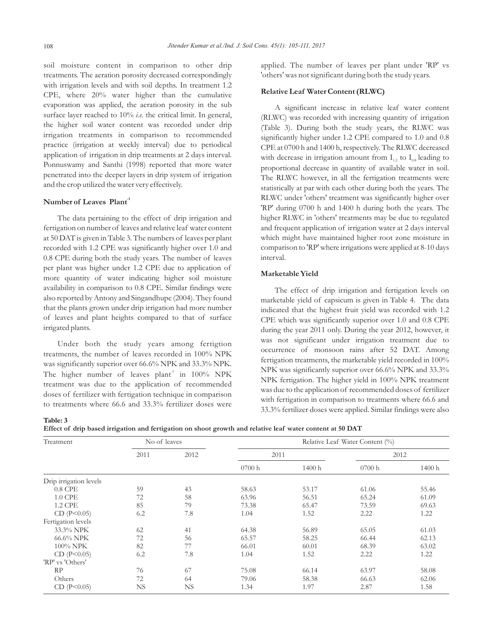*soil moisture content in comparison to other drip treatments. The aeration porosity decreased correspondingly with irrigation levels and with soil depths. In treatment 1.2 CPE, where 20% water higher than the cumulative evaporation was applied, the aeration porosity in the sub surface layer reached to 10% i.e. the critical limit. In general, the higher soil water content was recorded under drip irrigation treatments in comparison to recommended practice (irrigation at weekly interval) due to periodical application of irrigation in drip treatments at 2 days interval. Ponnuswamy and Santhi (1998) reported that more water penetrated into the deeper layers in drip system of irrigation and the crop utilized the water very effectively.*

#### *-1 Number of Leaves Plant*

*Table: 3* 

*The data pertaining to the effect of drip irrigation and fertigation on number of leaves and relative leaf water content at 50 DAT is given in Table 3. The numbers of leaves per plant*  recorded with 1.2 CPE was significantly higher over 1.0 and *0.8 CPE during both the study years. The number of leaves per plant was higher under 1.2 CPE due to application of more quantity of water indicating higher soil moisture availability in comparison to 0.8 CPE. Similar findings were also reported by Antony and Singandhupe (2004). They found that the plants grown under drip irrigation had more number of leaves and plant heights compared to that of surface irrigated plants.*

*Under both the study years among fertigtion treatments, the number of leaves recorded in 100% NPK was significantly superior over 66.6% NPK and 33.3% NPK. -1 The higher number of leaves plant in 100% NPK treatment was due to the application of recommended doses of fertilizer with fertigation technique in comparison to treatments where 66.6 and 33.3% fertilizer doses were* *applied. The number of leaves per plant under 'RP' vs 'others' was notsignificant during both the study years.*

#### *Relative Leaf Water Content (RLWC)*

*A significant increase in relative leaf water content (RLWC) was recorded with increasing quantity of irrigation (Table 3). During both the study years, the RLWC was significantly higher under 1.2 CPE compared to 1.0 and 0.8 CPE at 0700 h and 1400 h, respectively. The RLWC decreased*  with decrease in irrigation amount from  $I_{1,2}$  to  $I_{0,8}$  leading to *proportional decrease in quantity of available water in soil.*  The RLWC however, in all the fertigation treatments were *statistically at par with each other during both the years. The RLWC under 'others' treatment was significantly higher over*  'RP' during 0700 h and 1400 h during both the years. The *higher RLWC in 'others' treatments may be due to regulated and frequent application of irrigation water at 2 days interval*  which might have maintained higher root zone moisture in *comparison to 'RP' where irrigations were applied at 8-10 days interval.*

#### *Marketable Yield*

*The effect of drip irrigation and fertigation levels on marketable yield of capsicum is given in Table 4. The data indicated that the highest fruit yield was recorded with 1.2 CPE which was significantly superior over 1.0 and 0.8 CPE during the year 2011 only. During the year 2012, however, it was not significant under irrigation treatment due to occurrence of monsoon rains after 52 DAT. Among fertigation treatments, the marketable yield recorded in 100% NPK was significantly superior over 66.6% NPK and 33.3% NPK fertigation. The higher yield in 100% NPK treatment was due to the application of recommended doses of fertilizer with fertigation in comparison to treatments where 66.6 and 33.3% fertilizer doses were applied. Similar findings were also* 

| Treatment              | No of leaves |      | Relative Leaf Water Content (%) |        |       |        |  |  |  |
|------------------------|--------------|------|---------------------------------|--------|-------|--------|--|--|--|
|                        | 2011         | 2012 | 2011                            |        |       | 2012   |  |  |  |
|                        |              |      | 0700h                           | 1400 h | 0700h | 1400 h |  |  |  |
| Drip irrigation levels |              |      |                                 |        |       |        |  |  |  |
| $0.8$ CPE              | 59           | 43   | 58.63                           | 53.17  | 61.06 | 55.46  |  |  |  |
| 1.0 CPE                | 72           | 58   | 63.96                           | 56.51  | 65.24 | 61.09  |  |  |  |
| 1.2 CPE                | 85           | 79   | 73.38                           | 65.47  | 73.59 | 69.63  |  |  |  |
| CD (P<0.05)            | 6.2          | 7.8  | 1.04                            | 1.52   | 2.22  | 1.22   |  |  |  |
| Fertigation levels     |              |      |                                 |        |       |        |  |  |  |
| 33.3% NPK              | 62           | 41   | 64.38                           | 56.89  | 65.05 | 61.03  |  |  |  |
| 66.6% NPK              | 72           | 56   | 65.57                           | 58.25  | 66.44 | 62.13  |  |  |  |
| 100% NPK               | 82           | 77   | 66.01                           | 60.01  | 68.39 | 63.02  |  |  |  |
| CD (P<0.05)            | 6.2          | 7.8  | 1.04                            | 1.52   | 2.22  | 1.22   |  |  |  |
| 'RP' vs 'Others'       |              |      |                                 |        |       |        |  |  |  |
| RP                     | 76           | 67   | 75.08                           | 66.14  | 63.97 | 58.08  |  |  |  |
| Others                 | 72           | 64   | 79.06                           | 58.38  | 66.63 | 62.06  |  |  |  |
| CD (P<0.05)            | NS           | NS.  | 1.34                            | 1.97   | 2.87  | 1.58   |  |  |  |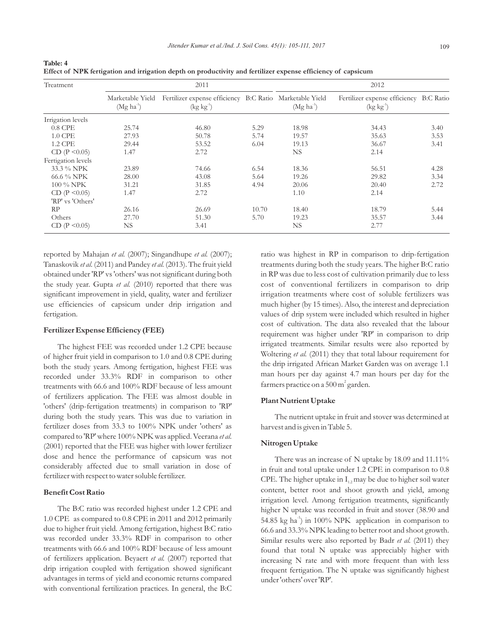| Treatment           |                                 | 2011                                                                              |       | 2012        |                                                                  |      |  |  |  |
|---------------------|---------------------------------|-----------------------------------------------------------------------------------|-------|-------------|------------------------------------------------------------------|------|--|--|--|
|                     | Marketable Yield<br>$(Mg ha^1)$ | Fertilizer expense efficiency B:C Ratio Marketable Yield<br>$(\text{kg kg}^{-1})$ |       | $(Mg ha-1)$ | Fertilizer expense efficiency B:C Ratio<br>$(\text{kg kg}^{-1})$ |      |  |  |  |
| Irrigation levels   |                                 |                                                                                   |       |             |                                                                  |      |  |  |  |
| $0.8$ CPE           | 25.74                           | 46.80                                                                             | 5.29  | 18.98       | 34.43                                                            | 3.40 |  |  |  |
| 1.0 CPE             | 27.93                           | 50.78                                                                             | 5.74  | 19.57       | 35.63                                                            | 3.53 |  |  |  |
| <b>1.2 CPE</b>      | 29.44                           | 53.52                                                                             | 6.04  | 19.13       | 36.67                                                            | 3.41 |  |  |  |
| CD (P < 0.05)       | 1.47                            | 2.72                                                                              |       | NS.         | 2.14                                                             |      |  |  |  |
| Fertigation levels  |                                 |                                                                                   |       |             |                                                                  |      |  |  |  |
| 33.3 % NPK          | 23.89                           | 74.66                                                                             | 6.54  | 18.36       | 56.51                                                            | 4.28 |  |  |  |
| 66.6 % NPK          | 28.00                           | 43.08                                                                             | 5.64  | 19.26       | 29.82                                                            | 3.34 |  |  |  |
| 100 % NPK           | 31.21                           | 31.85                                                                             | 4.94  | 20.06       | 20.40                                                            | 2.72 |  |  |  |
| CD (P < 0.05)       | 1.47                            | 2.72                                                                              |       | 1.10        | 2.14                                                             |      |  |  |  |
| 'RP' vs 'Others'    |                                 |                                                                                   |       |             |                                                                  |      |  |  |  |
| RP                  | 26.16                           | 26.69                                                                             | 10.70 | 18.40       | 18.79                                                            | 5.44 |  |  |  |
| Others              | 27.70                           | 51.30                                                                             | 5.70  | 19.23       | 35.57                                                            | 3.44 |  |  |  |
| CD ( $P \le 0.05$ ) | NS.                             | 3.41                                                                              |       | NS          | 2.77                                                             |      |  |  |  |

*Table: 4 Effect of NPK fertigation and irrigation depth on productivity and fertilizer expense efficiency of capsicum*

*reported by Mahajan et al. (2007); Singandhupe et al. (2007); Tanaskovik et al. (2011) and Pandey et al. (2013). The fruit yield obtained under 'RP' vs 'others' was not significant during both the study year. Gupta et al. (2010) reported that there was significant improvement in yield, quality, water and fertilizer use efficiencies of capsicum under drip irrigation and fertigation.*

#### *Fertilizer Expense Efficiency (FEE)*

*The highest FEE was recorded under 1.2 CPE because of higher fruit yield in comparison to 1.0 and 0.8 CPE during both the study years. Among fertigation, highest FEE was recorded under 33.3% RDF in comparison to other treatments with 66.6 and 100% RDF because of less amount of fertilizers application. The FEE was almost double in 'others' (drip-fertigation treatments) in comparison to 'RP'*  during both the study years. This was due to variation in *fertilizer doses from 33.3 to 100% NPK under 'others' as*  compared to 'RP' where 100% NPK was applied. Veerana *et al. (2001) reported that the FEE was higher with lower fertilizer dose and hence the performance of capsicum was not considerably affected due to small variation in dose of fertilizer with respect to water soluble fertilizer.*

#### *Benefit Cost Ratio*

*The B:C ratio was recorded highest under 1.2 CPE and 1.0 CPE as compared to 0.8 CPE in 2011 and 2012 primarily due to higher fruit yield. Among fertigation, highest B:C ratio was recorded under 33.3% RDF in comparison to other treatments with 66.6 and 100% RDF because of less amount of fertilizers application. Beyaert et al. (2007) reported that drip irrigation coupled with fertigation showed significant advantages in terms of yield and economic returns compared with conventional fertilization practices. In general, the B:C* 

*ratio was highest in RP in comparison to drip-fertigation treatments during both the study years. The higher B:C ratio in RP was due to less cost of cultivation primarily due to less cost of conventional fertilizers in comparison to drip irrigation treatments where cost of soluble fertilizers was much higher (by 15 times). Also, the interest and depreciation*  values of drip system were included which resulted in higher *cost of cultivation. The data also revealed that the labour requirement was higher under 'RP' in comparison to drip irrigated treatments. Similar results were also reported by Woltering et al. (2011) they that total labour requirement for the drip irrigated African Market Garden was on average 1.1 man hours per day against 4.7 man hours per day for the 2 farmers practice on a 500 m garden.*

#### *Plant Nutrient Uptake*

*The nutrient uptake in fruit and stover was determined at harvest and is given in Table 5.*

#### *Nitrogen Uptake*

*There was an increase of N uptake by 18.09 and 11.11% in fruit and total uptake under 1.2 CPE in comparison to 0.8 CPE. The higher uptake in I<sub>12</sub> may be due to higher soil water content, better root and shoot growth and yield, among irrigation level. Among fertigation treatments, significantly higher N uptake was recorded in fruit and stover (38.90 and -1 54.85 kg ha ) in 100% NPK application in comparison to 66.6 and 33.3% NPK leading to better root and shoot growth. Similar results were also reported by Badr et al. (2011) they found that total N uptake was appreciably higher with increasing N rate and with more frequent than with less frequent fertigation. The N uptake was significantly highest under 'others' over 'RP'.*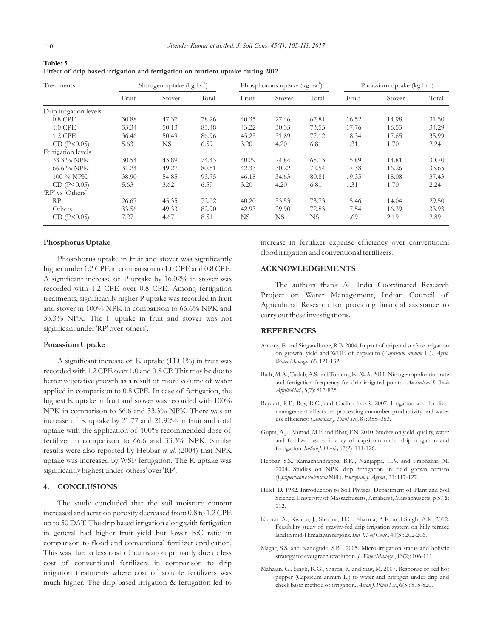| Table: 5                                                                       |  |
|--------------------------------------------------------------------------------|--|
| Effect of drip based irrigation and fertigation on nutrient uptake during 2012 |  |

| Treatments             |       | Nitrogen uptake (kg ha <sup>1</sup> ) |       |       | Phosphorous uptake (kg ha <sup>-1</sup> ) |       | Potassium uptake (kg ha <sup>1</sup> ) |        |       |
|------------------------|-------|---------------------------------------|-------|-------|-------------------------------------------|-------|----------------------------------------|--------|-------|
|                        | Fruit | Stover                                | Total | Fruit | Stover                                    | Total | Fruit                                  | Stover | Total |
| Drip irrigation levels |       |                                       |       |       |                                           |       |                                        |        |       |
| $0.8$ CPE              | 30.88 | 47.37                                 | 78.26 | 40.35 | 27.46                                     | 67.81 | 16.52                                  | 14.98  | 31.50 |
| 1.0 CPE                | 33.34 | 50.13                                 | 83.48 | 43.22 | 30.33                                     | 73.55 | 17.76                                  | 16.53  | 34.29 |
| 1.2 CPE                | 36.46 | 50.49                                 | 86.96 | 45.23 | 31.89                                     | 77.12 | 18.34                                  | 17.65  | 35.99 |
| CD(P<0.05)             | 5.63  | NS.                                   | 6.59  | 3.20  | 4.20                                      | 6.81  | 1.31                                   | 1.70   | 2.24  |
| Fertigation levels     |       |                                       |       |       |                                           |       |                                        |        |       |
| 33.3 % NPK             | 30.54 | 43.89                                 | 74.43 | 40.29 | 24.84                                     | 65.13 | 15.89                                  | 14.81  | 30.70 |
| 66.6 % NPK             | 31.24 | 49.27                                 | 80.51 | 42.33 | 30.22                                     | 72.54 | 17.38                                  | 16.26  | 33.65 |
| 100 % NPK              | 38.90 | 54.85                                 | 93.75 | 46.18 | 34.63                                     | 80.81 | 19.35                                  | 18.08  | 37.43 |
| CD(P<0.05)             | 5.63  | 3.62                                  | 6.59  | 3.20  | 4.20                                      | 6.81  | 1.31                                   | 1.70   | 2.24  |
| 'RP' vs 'Others'       |       |                                       |       |       |                                           |       |                                        |        |       |
| RP                     | 26.67 | 45.35                                 | 72.02 | 40.20 | 33.53                                     | 73.73 | 15.46                                  | 14.04  | 29.50 |
| Others                 | 33.56 | 49.33                                 | 82.90 | 42.93 | 29.90                                     | 72.83 | 17.54                                  | 16.39  | 33.93 |
| CD(P<0.05)             | 7.27  | 4.67                                  | 8.51  | NS.   | NS.                                       | NS    | 1.69                                   | 2.19   | 2.89  |

#### *Phosphorus Uptake*

*Phosphorus uptake in fruit and stover was significantly higher under 1.2 CPE in comparison to 1.0 CPE and 0.8 CPE. A significant increase of P uptake by 16.02% in stover was recorded with 1.2 CPE over 0.8 CPE. Among fertigation treatments, significantly higher P uptake was recorded in fruit and stover in 100% NPK in comparison to 66.6% NPK and 33.3% NPK. The P uptake in fruit and stover was not significant under 'RP' over 'others'.*

#### *Potassium Uptake*

*A significant increase of K uptake (11.01%) in fruit was recorded with 1.2 CPE over 1.0 and 0.8 CP. This may be due to better vegetative growth as a result of more volume of water applied in comparison to 0.8 CPE. In case of fertigation, the highest K uptake in fruit and stover was recorded with 100% NPK in comparison to 66.6 and 33.3% NPK. There was an increase of K uptake by 21.77 and 21.92% in fruit and total uptake with the application of 100% recommended dose of fertilizer in comparison to 66.6 and 33.3% NPK. Similar results were also reported by Hebbar et al. (2004) that NPK uptake was increased by WSF fertigation. The K uptake was significantly highest under 'others' over 'RP'.*

#### *4. CONCLUSIONS*

*The study concluded that the soil moisture content increased and aeration porosity decreased from 0.8 to 1.2 CPE up to 50 DAT. The drip based irrigation along with fertigation*  in general had higher fruit yield but lower B:C ratio in *comparison to flood and conventional fertilizer application. This was due to less cost of cultivation primarily due to less cost of conventional fertilizers in comparison to drip irrigation treatments where cost of soluble fertilizers was much higher. The drip based irrigation & fertigation led to* 

*increase in fertilizer expense efficiency over conventional flood irrigation and conventional fertilizers.*

#### *ACKNOWLEDGEMENTS*

*The authors thank All India Coordinated Research Project on Water Management, Indian Council of Agricultural Research for providing financial assistance to carry out these investigations.*

#### *REFERENCES*

- *Antony, E. and Singandhupe, R.B. 2004. Impact of drip and surface irrigation on growth, yield and WUE of capsicum (Capsicum annum L.). Agric. Water Manage., 65: 121-132.*
- *Badr, M.A., Taalab, A.S. and Tohamy, E.l.W.A. 2011. Nitrogen application rate and fertigation frequency for drip irrigated potato. Australian J. Basic Applied Sci., 5(7): 817-825.*
- *Beyaert, R.P., Roy, R.C., and Coelho, B.B.R. 2007. Irrigation and fertilizer*  management effects on processing cucumber productivity and water *use efficiency. Canadian J. Plant Sci., 87: 355–363.*
- *Gupta, A.J., Ahmad, M.F. and Bhat, F.N. 2010. Studies on yield, quality, water and fertilizer use efficiency of capsicum under drip irrigation and fertigation. Indian J. Horti., 67(2): 111-126.*
- *Hebbar, S.S., Ramachandrappa, B.K., Nanjappa, H.V. and Prabhakar, M. 2004. Studies on NPK drip fertigation in field grown tomato (Lycopersicon esculentum Mill.). European J. Agron., 21: 117-127.*
- *Hillel, D. 1982. Introduction to Soil Physics. Department of Plant and Soil Science, University of Massachusetts, Amaherst, Massachusetts, p 57 & 112.*
- *Kumar, A., Kwatra, J., Sharma, H.C., Sharma, A.K. and Singh, A.K. 2012. Feasibility study of gravity-fed drip irrigation system on hilly terrace land in mid-Himalayan regions. Ind. J. Soil Cons., 40(3): 202-206.*
- *Magar, S.S. and Nandgude, S.B. 2005. Micro-irrigation status and holistic strategy for evergreen revolution. J. Water Manage., 13(2): 106-111.*
- *Mahajan, G., Singh, K.G., Sharda, R. and Siag, M. 2007. Response of red hot pepper (Capsicum annum L.) to water and nitrogen under drip and check basin method of irrigation. Asian J. Plant Sci., 6(5): 815-820.*